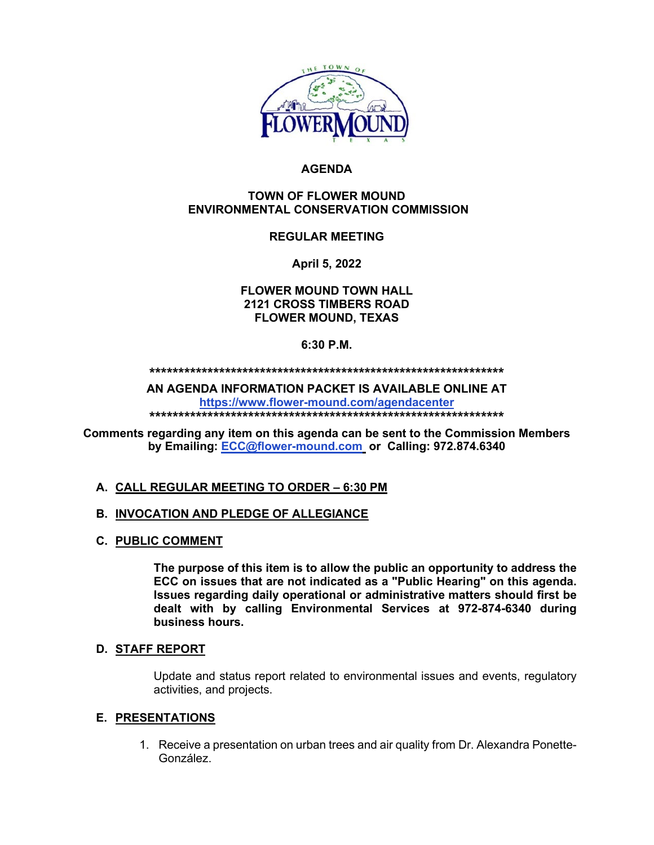

# **AGENDA**

#### **TOWN OF FLOWER MOUND ENVIRONMENTAL CONSERVATION COMMISSION**

## **REGULAR MEETING**

**April 5, 2022**

**FLOWER MOUND TOWN HALL 2121 CROSS TIMBERS ROAD FLOWER MOUND, TEXAS**

#### **6:30 P.M.**

**\*\*\*\*\*\*\*\*\*\*\*\*\*\*\*\*\*\*\*\*\*\*\*\*\*\*\*\*\*\*\*\*\*\*\*\*\*\*\*\*\*\*\*\*\*\*\*\*\*\*\*\*\*\*\*\*\*\*\*\*\***

**AN AGENDA INFORMATION PACKET IS AVAILABLE ONLINE AT <https://www.flower-mound.com/agendacenter>**

**\*\*\*\*\*\*\*\*\*\*\*\*\*\*\*\*\*\*\*\*\*\*\*\*\*\*\*\*\*\*\*\*\*\*\*\*\*\*\*\*\*\*\*\*\*\*\*\*\*\*\*\*\*\*\*\*\*\*\*\*\***

**Comments regarding any item on this agenda can be sent to the Commission Members by Emailing: [ECC@flower-mound.com](mailto:ECC@flower-mound.com) or Calling: 972.874.6340** 

## **A. CALL REGULAR MEETING TO ORDER – 6:30 PM**

## **B. INVOCATION AND PLEDGE OF ALLEGIANCE**

**C. PUBLIC COMMENT**

**The purpose of this item is to allow the public an opportunity to address the ECC on issues that are not indicated as a "Public Hearing" on this agenda. Issues regarding daily operational or administrative matters should first be dealt with by calling Environmental Services at 972-874-6340 during business hours.**

#### **D. STAFF REPORT**

Update and status report related to environmental issues and events, regulatory activities, and projects.

## **E. PRESENTATIONS**

1. Receive a presentation on urban trees and air quality from Dr. Alexandra Ponette-González.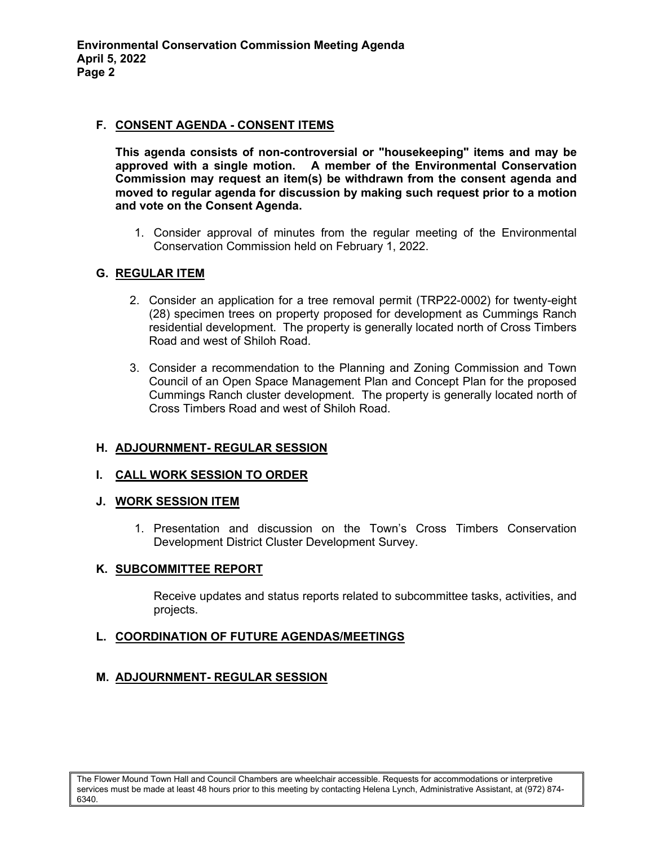## **F. CONSENT AGENDA - CONSENT ITEMS**

**This agenda consists of non-controversial or "housekeeping" items and may be approved with a single motion. A member of the Environmental Conservation Commission may request an item(s) be withdrawn from the consent agenda and moved to regular agenda for discussion by making such request prior to a motion and vote on the Consent Agenda.** 

1. Consider approval of minutes from the regular meeting of the Environmental Conservation Commission held on February 1, 2022.

# **G. REGULAR ITEM**

- 2. Consider an application for a tree removal permit (TRP22-0002) for twenty-eight (28) specimen trees on property proposed for development as Cummings Ranch residential development. The property is generally located north of Cross Timbers Road and west of Shiloh Road.
- 3. Consider a recommendation to the Planning and Zoning Commission and Town Council of an Open Space Management Plan and Concept Plan for the proposed Cummings Ranch cluster development. The property is generally located north of Cross Timbers Road and west of Shiloh Road.

# **H. ADJOURNMENT- REGULAR SESSION**

## **I. CALL WORK SESSION TO ORDER**

## **J. WORK SESSION ITEM**

1. Presentation and discussion on the Town's Cross Timbers Conservation Development District Cluster Development Survey.

## **K. SUBCOMMITTEE REPORT**

Receive updates and status reports related to subcommittee tasks, activities, and projects.

## **L. COORDINATION OF FUTURE AGENDAS/MEETINGS**

# **M. ADJOURNMENT- REGULAR SESSION**

The Flower Mound Town Hall and Council Chambers are wheelchair accessible. Requests for accommodations or interpretive services must be made at least 48 hours prior to this meeting by contacting Helena Lynch, Administrative Assistant, at (972) 874- 6340.